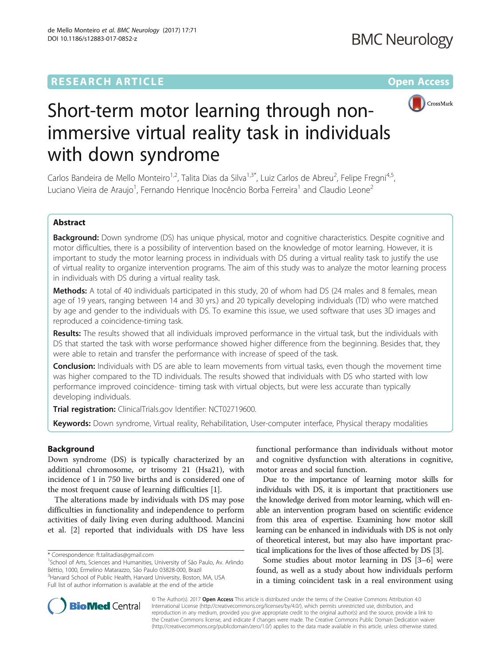## **RESEARCH ARTICLE External Structure Community Community Community Community Community Community Community Community**



# Short-term motor learning through nonimmersive virtual reality task in individuals with down syndrome

Carlos Bandeira de Mello Monteiro<sup>1,2</sup>, Talita Dias da Silva<sup>1,3\*</sup>, Luiz Carlos de Abreu<sup>2</sup>, Felipe Fregni<sup>4,5</sup>, Luciano Vieira de Araujo<sup>1</sup>, Fernando Henrique Inocêncio Borba Ferreira<sup>1</sup> and Claudio Leone<sup>2</sup>

## Abstract

Background: Down syndrome (DS) has unique physical, motor and cognitive characteristics. Despite cognitive and motor difficulties, there is a possibility of intervention based on the knowledge of motor learning. However, it is important to study the motor learning process in individuals with DS during a virtual reality task to justify the use of virtual reality to organize intervention programs. The aim of this study was to analyze the motor learning process in individuals with DS during a virtual reality task.

Methods: A total of 40 individuals participated in this study, 20 of whom had DS (24 males and 8 females, mean age of 19 years, ranging between 14 and 30 yrs.) and 20 typically developing individuals (TD) who were matched by age and gender to the individuals with DS. To examine this issue, we used software that uses 3D images and reproduced a coincidence-timing task.

Results: The results showed that all individuals improved performance in the virtual task, but the individuals with DS that started the task with worse performance showed higher difference from the beginning. Besides that, they were able to retain and transfer the performance with increase of speed of the task.

**Conclusion:** Individuals with DS are able to learn movements from virtual tasks, even though the movement time was higher compared to the TD individuals. The results showed that individuals with DS who started with low performance improved coincidence- timing task with virtual objects, but were less accurate than typically developing individuals.

Trial registration: [ClinicalTrials.gov](http://clinicaltrials.gov) Identifier: [NCT02719600](https://clinicaltrials.gov/ct2/results?term=NCT02719600&Search=Search).

Keywords: Down syndrome, Virtual reality, Rehabilitation, User-computer interface, Physical therapy modalities

## Background

Down syndrome (DS) is typically characterized by an additional chromosome, or trisomy 21 (Hsa21), with incidence of 1 in 750 live births and is considered one of the most frequent cause of learning difficulties [[1\]](#page-6-0).

The alterations made by individuals with DS may pose difficulties in functionality and independence to perform activities of daily living even during adulthood. Mancini et al. [\[2](#page-6-0)] reported that individuals with DS have less

<sup>1</sup>School of Arts, Sciences and Humanities, University of São Paulo, Av. Arlindo Béttio, 1000, Ermelino Matarazzo, São Paulo 03828-000, Brazil <sup>3</sup> Harvard School of Public Health, Harvard University, Boston, MA, USA

Full list of author information is available at the end of the article

functional performance than individuals without motor and cognitive dysfunction with alterations in cognitive, motor areas and social function.

Due to the importance of learning motor skills for individuals with DS, it is important that practitioners use the knowledge derived from motor learning, which will enable an intervention program based on scientific evidence from this area of expertise. Examining how motor skill learning can be enhanced in individuals with DS is not only of theoretical interest, but may also have important practical implications for the lives of those affected by DS [[3\]](#page-6-0).

Some studies about motor learning in DS [\[3](#page-6-0)–[6](#page-6-0)] were found, as well as a study about how individuals perform in a timing coincident task in a real environment using



© The Author(s). 2017 **Open Access** This article is distributed under the terms of the Creative Commons Attribution 4.0 International License [\(http://creativecommons.org/licenses/by/4.0/](http://creativecommons.org/licenses/by/4.0/)), which permits unrestricted use, distribution, and reproduction in any medium, provided you give appropriate credit to the original author(s) and the source, provide a link to the Creative Commons license, and indicate if changes were made. The Creative Commons Public Domain Dedication waiver [\(http://creativecommons.org/publicdomain/zero/1.0/](http://creativecommons.org/publicdomain/zero/1.0/)) applies to the data made available in this article, unless otherwise stated.

<sup>\*</sup> Correspondence: [ft.talitadias@gmail.com](mailto:ft.talitadias@gmail.com) <sup>1</sup>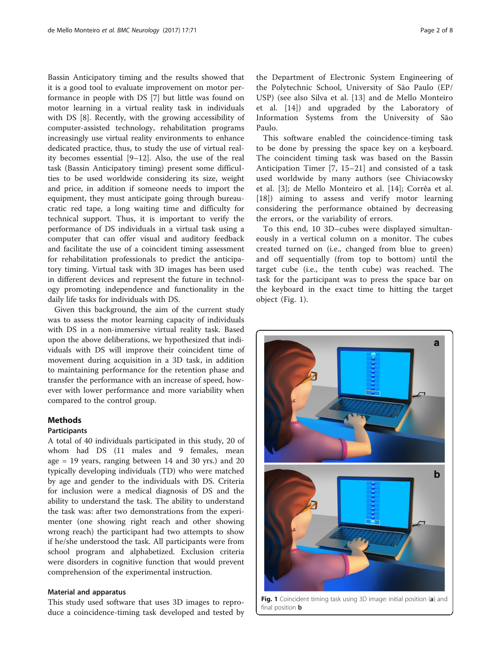Bassin Anticipatory timing and the results showed that it is a good tool to evaluate improvement on motor performance in people with DS [\[7\]](#page-6-0) but little was found on motor learning in a virtual reality task in individuals with DS [\[8](#page-6-0)]. Recently, with the growing accessibility of computer-assisted technology, rehabilitation programs increasingly use virtual reality environments to enhance dedicated practice, thus, to study the use of virtual reality becomes essential [[9](#page-6-0)–[12\]](#page-7-0). Also, the use of the real task (Bassin Anticipatory timing) present some difficulties to be used worldwide considering its size, weight and price, in addition if someone needs to import the equipment, they must anticipate going through bureaucratic red tape, a long waiting time and difficulty for technical support. Thus, it is important to verify the performance of DS individuals in a virtual task using a computer that can offer visual and auditory feedback and facilitate the use of a coincident timing assessment for rehabilitation professionals to predict the anticipatory timing. Virtual task with 3D images has been used in different devices and represent the future in technology promoting independence and functionality in the daily life tasks for individuals with DS.

Given this background, the aim of the current study was to assess the motor learning capacity of individuals with DS in a non-immersive virtual reality task. Based upon the above deliberations, we hypothesized that individuals with DS will improve their coincident time of movement during acquisition in a 3D task, in addition to maintaining performance for the retention phase and transfer the performance with an increase of speed, however with lower performance and more variability when compared to the control group.

## Methods

## Participants

A total of 40 individuals participated in this study, 20 of whom had DS (11 males and 9 females, mean age = 19 years, ranging between 14 and 30 yrs.) and 20 typically developing individuals (TD) who were matched by age and gender to the individuals with DS. Criteria for inclusion were a medical diagnosis of DS and the ability to understand the task. The ability to understand the task was: after two demonstrations from the experimenter (one showing right reach and other showing wrong reach) the participant had two attempts to show if he/she understood the task. All participants were from school program and alphabetized. Exclusion criteria were disorders in cognitive function that would prevent comprehension of the experimental instruction.

## Material and apparatus

This study used software that uses 3D images to reproduce a coincidence-timing task developed and tested by

the Department of Electronic System Engineering of the Polytechnic School, University of São Paulo (EP/ USP) (see also Silva et al. [\[13](#page-7-0)] and de Mello Monteiro et al. [[14\]](#page-7-0)) and upgraded by the Laboratory of Information Systems from the University of São Paulo.

This software enabled the coincidence-timing task to be done by pressing the space key on a keyboard. The coincident timing task was based on the Bassin Anticipation Timer [[7](#page-6-0), [15](#page-7-0)–[21](#page-7-0)] and consisted of a task used worldwide by many authors (see Chiviacowsky et al. [[3\]](#page-6-0); de Mello Monteiro et al. [\[14](#page-7-0)]; Corrêa et al. [[18\]](#page-7-0)) aiming to assess and verify motor learning considering the performance obtained by decreasing the errors, or the variability of errors.

To this end, 10 3D–cubes were displayed simultaneously in a vertical column on a monitor. The cubes created turned on (i.e., changed from blue to green) and off sequentially (from top to bottom) until the target cube (i.e., the tenth cube) was reached. The task for the participant was to press the space bar on the keyboard in the exact time to hitting the target object (Fig. 1).



Fig. 1 Coincident timing task using 3D image: initial position (a) and final position **b**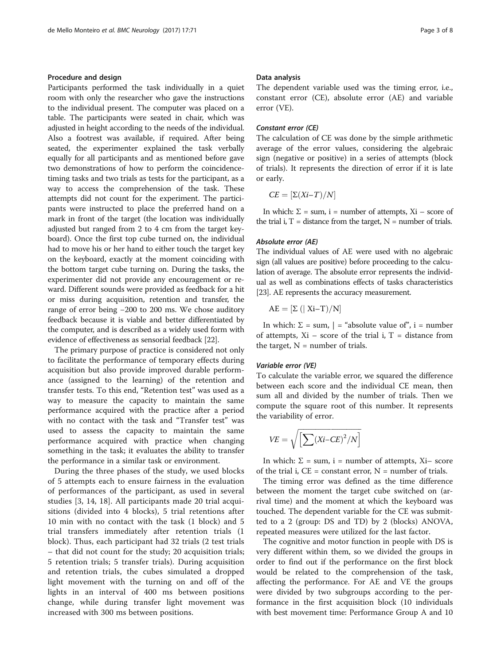## Procedure and design

Participants performed the task individually in a quiet room with only the researcher who gave the instructions to the individual present. The computer was placed on a table. The participants were seated in chair, which was adjusted in height according to the needs of the individual. Also a footrest was available, if required. After being seated, the experimenter explained the task verbally equally for all participants and as mentioned before gave two demonstrations of how to perform the coincidencetiming tasks and two trials as tests for the participant, as a way to access the comprehension of the task. These attempts did not count for the experiment. The participants were instructed to place the preferred hand on a mark in front of the target (the location was individually adjusted but ranged from 2 to 4 cm from the target keyboard). Once the first top cube turned on, the individual had to move his or her hand to either touch the target key on the keyboard, exactly at the moment coinciding with the bottom target cube turning on. During the tasks, the experimenter did not provide any encouragement or reward. Different sounds were provided as feedback for a hit or miss during acquisition, retention and transfer, the range of error being −200 to 200 ms. We chose auditory feedback because it is viable and better differentiated by the computer, and is described as a widely used form with evidence of effectiveness as sensorial feedback [[22\]](#page-7-0).

The primary purpose of practice is considered not only to facilitate the performance of temporary effects during acquisition but also provide improved durable performance (assigned to the learning) of the retention and transfer tests. To this end, "Retention test" was used as a way to measure the capacity to maintain the same performance acquired with the practice after a period with no contact with the task and "Transfer test" was used to assess the capacity to maintain the same performance acquired with practice when changing something in the task; it evaluates the ability to transfer the performance in a similar task or environment.

During the three phases of the study, we used blocks of 5 attempts each to ensure fairness in the evaluation of performances of the participant, as used in several studies [\[3](#page-6-0), [14, 18](#page-7-0)]. All participants made 20 trial acquisitions (divided into 4 blocks), 5 trial retentions after 10 min with no contact with the task (1 block) and 5 trial transfers immediately after retention trials (1 block). Thus, each participant had 32 trials (2 test trials – that did not count for the study; 20 acquisition trials; 5 retention trials; 5 transfer trials). During acquisition and retention trials, the cubes simulated a dropped light movement with the turning on and off of the lights in an interval of 400 ms between positions change, while during transfer light movement was increased with 300 ms between positions.

#### Data analysis

The dependent variable used was the timing error, i.e., constant error (CE), absolute error (AE) and variable error (VE).

#### Constant error (CE)

The calculation of CE was done by the simple arithmetic average of the error values, considering the algebraic sign (negative or positive) in a series of attempts (block of trials). It represents the direction of error if it is late or early.

$$
CE = [\Sigma(Xi-T)/N]
$$

In which:  $\Sigma$  = sum, i = number of attempts, Xi – score of the trial i,  $T =$  distance from the target,  $N =$  number of trials.

## Absolute error (AE)

The individual values of AE were used with no algebraic sign (all values are positive) before proceeding to the calculation of average. The absolute error represents the individual as well as combinations effects of tasks characteristics [[23](#page-7-0)]. AE represents the accuracy measurement.

$$
AE = [\Sigma (|Xi-T)/N]
$$

In which:  $\Sigma$  = sum,  $|$  = "absolute value of", i = number of attempts,  $Xi$  – score of the trial i,  $T$  = distance from the target,  $N =$  number of trials.

## Variable error (VE)

To calculate the variable error, we squared the difference between each score and the individual CE mean, then sum all and divided by the number of trials. Then we compute the square root of this number. It represents the variability of error.

$$
VE = \sqrt{\left[\sum (Xi - CE)^2 / N\right]}
$$

ffiffiffiffiffiffiffiffiffiffiffiffiffiffiffiffiffiffiffiffiffiffiffiffiffiffiffiffiffiffiffiffiffiffiffiffiffi

In which:  $\Sigma$  = sum, i = number of attempts, Xi– score of the trial i,  $CE = constant error$ ,  $N = number of trials$ .

The timing error was defined as the time difference between the moment the target cube switched on (arrival time) and the moment at which the keyboard was touched. The dependent variable for the CE was submitted to a 2 (group: DS and TD) by 2 (blocks) ANOVA, repeated measures were utilized for the last factor.

The cognitive and motor function in people with DS is very different within them, so we divided the groups in order to find out if the performance on the first block would be related to the comprehension of the task, affecting the performance. For AE and VE the groups were divided by two subgroups according to the performance in the first acquisition block (10 individuals with best movement time: Performance Group A and 10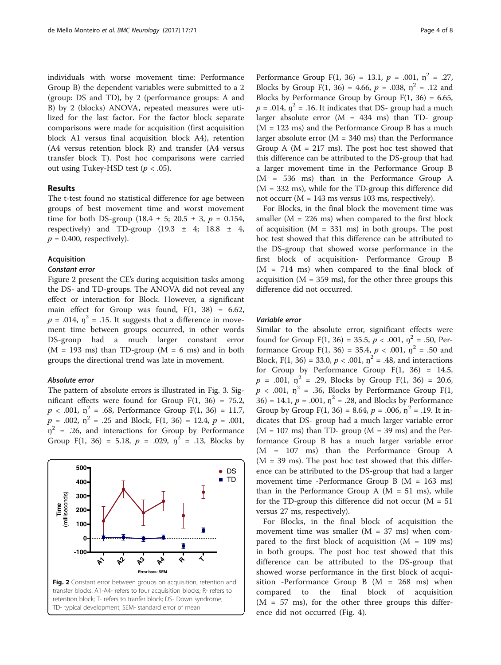individuals with worse movement time: Performance Group B) the dependent variables were submitted to a 2 (group: DS and TD), by 2 (performance groups: A and B) by 2 (blocks) ANOVA, repeated measures were utilized for the last factor. For the factor block separate comparisons were made for acquisition (first acquisition block A1 versus final acquisition block A4), retention (A4 versus retention block R) and transfer (A4 versus transfer block T). Post hoc comparisons were carried out using Tukey-HSD test ( $p < .05$ ).

## Results

The t-test found no statistical difference for age between groups of best movement time and worst movement time for both DS-group  $(18.4 \pm 5; 20.5 \pm 3, p = 0.154,$ respectively) and TD-group  $(19.3 \pm 4; 18.8 \pm 4,$  $p = 0.400$ , respectively).

#### Acquisition

### Constant error

Figure 2 present the CE's during acquisition tasks among the DS- and TD-groups. The ANOVA did not reveal any effect or interaction for Block. However, a significant main effect for Group was found,  $F(1, 38) = 6.62$ ,  $p = .014$ ,  $\eta^2 = .15$ . It suggests that a difference in movement time between groups occurred, in other words DS-group had a much larger constant error  $(M = 193 \text{ ms})$  than TD-group  $(M = 6 \text{ ms})$  and in both groups the directional trend was late in movement.

## Absolute error

The pattern of absolute errors is illustrated in Fig. [3.](#page-4-0) Significant effects were found for Group  $F(1, 36) = 75.2$ ,  $p < .001$ ,  $\eta^2 = .68$ , Performance Group F(1, 36) = 11.7,  $p = .002$ ,  $\eta^2 = .25$  and Block,  $F(1, 36) = 12.4$ ,  $p = .001$ ,  $\eta^2$  = .26, and interactions for Group by Performance Group F(1, 36) = 5.18,  $p = .029$ ,  $\eta^2 = .13$ , Blocks by



Performance Group F(1, 36) = 13.1,  $p = .001$ ,  $\eta^2 = .27$ , Blocks by Group F(1, 36) = 4.66,  $p = .038$ ,  $\eta^2 = .12$  and Blocks by Performance Group by Group  $F(1, 36) = 6.65$ ,  $p = .014$ ,  $\eta^2 = .16$ . It indicates that DS- group had a much larger absolute error  $(M = 434 \text{ ms})$  than TD- group  $(M = 123 \text{ ms})$  and the Performance Group B has a much larger absolute error  $(M = 340 \text{ ms})$  than the Performance Group A ( $M = 217$  ms). The post hoc test showed that this difference can be attributed to the DS-group that had a larger movement time in the Performance Group B (M = 536 ms) than in the Performance Group A  $(M = 332 \text{ ms})$ , while for the TD-group this difference did not occurr ( $M = 143$  ms versus 103 ms, respectively).

For Blocks, in the final block the movement time was smaller  $(M = 226 \text{ ms})$  when compared to the first block of acquisition  $(M = 331 \text{ ms})$  in both groups. The post hoc test showed that this difference can be attributed to the DS-group that showed worse performance in the first block of acquisition- Performance Group B  $(M = 714 \text{ ms})$  when compared to the final block of acquisition ( $M = 359$  ms), for the other three groups this difference did not occurred.

## Variable error

Similar to the absolute error, significant effects were found for Group F(1, 36) = 35.5,  $p < .001$ ,  $\eta^2 = .50$ , Performance Group F(1, 36) = 35.4,  $p < .001$ ,  $\eta^2 = .50$  and Block,  $F(1, 36) = 33.0, p < .001, \eta^2 = .48$ , and interactions for Group by Performance Group  $F(1, 36) = 14.5$ ,  $p = .001$ ,  $\eta^2 = .29$ , Blocks by Group F(1, 36) = 20.6,  $p < .001$ ,  $\eta^2 = .36$ , Blocks by Performance Group F(1, 36) = 14.1,  $p = .001$ ,  $\eta^2 = .28$ , and Blocks by Performance Group by Group  $F(1, 36) = 8.64$ ,  $p = .006$ ,  $n^2 = .19$ . It indicates that DS- group had a much larger variable error  $(M = 107 \text{ ms})$  than TD- group  $(M = 39 \text{ ms})$  and the Performance Group B has a much larger variable error (M = 107 ms) than the Performance Group A  $(M = 39 \text{ ms})$ . The post hoc test showed that this difference can be attributed to the DS-group that had a larger movement time -Performance Group B (M = 163 ms) than in the Performance Group A ( $M = 51$  ms), while for the TD-group this difference did not occur  $(M = 51)$ versus 27 ms, respectively).

For Blocks, in the final block of acquisition the movement time was smaller  $(M = 37 \text{ ms})$  when compared to the first block of acquisition  $(M = 109 \text{ ms})$ in both groups. The post hoc test showed that this difference can be attributed to the DS-group that showed worse performance in the first block of acquisition -Performance Group B  $(M = 268 \text{ ms})$  when compared to the final block of acquisition  $(M = 57 \text{ ms})$ , for the other three groups this difference did not occurred (Fig. [4\)](#page-4-0).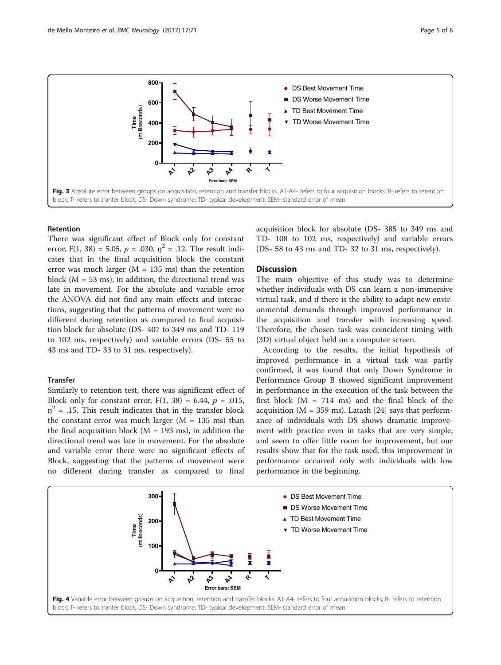<span id="page-4-0"></span>

## Retention

There was significant effect of Block only for constant error,  $F(1, 38) = 5.05$ ,  $p = .030$ ,  $\eta^2 = .12$ . The result indicates that in the final acquisition block the constant error was much larger ( $M = 135$  ms) than the retention block  $(M = 53 \text{ ms})$ , in addition, the directional trend was late in movement. For the absolute and variable error the ANOVA did not find any main effects and interactions, suggesting that the patterns of movement were no different during retention as compared to final acquisition block for absolute (DS- 407 to 349 ms and TD- 119 to 102 ms, respectively) and variable errors (DS- 55 to 43 ms and TD- 33 to 31 ms, respectively).

## Transfer

Similarly to retention test, there was significant effect of Block only for constant error,  $F(1, 38) = 6.44$ ,  $p = .015$ ,  $\eta^2$  = .15. This result indicates that in the transfer block the constant error was much larger  $(M = 135 \text{ ms})$  than the final acquisition block ( $M = 193$  ms), in addition the directional trend was late in movement. For the absolute and variable error there were no significant effects of Block, suggesting that the patterns of movement were no different during transfer as compared to final acquisition block for absolute (DS- 385 to 349 ms and TD- 108 to 102 ms, respectively) and variable errors (DS- 58 to 43 ms and TD- 32 to 31 ms, respectively).

## **Discussion**

The main objective of this study was to determine whether individuals with DS can learn a non-immersive virtual task, and if there is the ability to adapt new environmental demands through improved performance in the acquisition and transfer with increasing speed. Therefore, the chosen task was coincident timing with (3D) virtual object held on a computer screen.

According to the results, the initial hypothesis of improved performance in a virtual task was partly confirmed, it was found that only Down Syndrome in Performance Group B showed significant improvement in performance in the execution of the task between the first block  $(M = 714 \text{ ms})$  and the final block of the acquisition ( $M = 359$  ms). Latash [\[24](#page-7-0)] says that performance of individuals with DS shows dramatic improvement with practice even in tasks that are very simple, and seem to offer little room for improvement, but our results show that for the task used, this improvement in performance occurred only with individuals with low performance in the beginning.

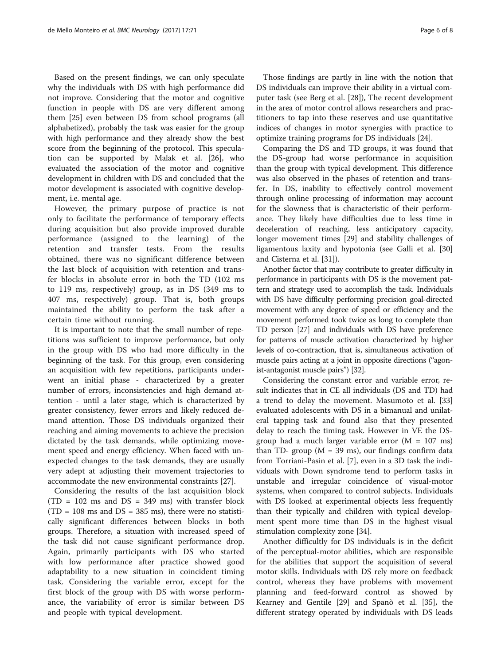Based on the present findings, we can only speculate why the individuals with DS with high performance did not improve. Considering that the motor and cognitive function in people with DS are very different among them [\[25\]](#page-7-0) even between DS from school programs (all alphabetized), probably the task was easier for the group with high performance and they already show the best score from the beginning of the protocol. This speculation can be supported by Malak et al. [[26\]](#page-7-0), who evaluated the association of the motor and cognitive development in children with DS and concluded that the motor development is associated with cognitive development, i.e. mental age.

However, the primary purpose of practice is not only to facilitate the performance of temporary effects during acquisition but also provide improved durable performance (assigned to the learning) of the retention and transfer tests. From the results obtained, there was no significant difference between the last block of acquisition with retention and transfer blocks in absolute error in both the TD (102 ms to 119 ms, respectively) group, as in DS (349 ms to 407 ms, respectively) group. That is, both groups maintained the ability to perform the task after a certain time without running.

It is important to note that the small number of repetitions was sufficient to improve performance, but only in the group with DS who had more difficulty in the beginning of the task. For this group, even considering an acquisition with few repetitions, participants underwent an initial phase - characterized by a greater number of errors, inconsistencies and high demand attention - until a later stage, which is characterized by greater consistency, fewer errors and likely reduced demand attention. Those DS individuals organized their reaching and aiming movements to achieve the precision dictated by the task demands, while optimizing movement speed and energy efficiency. When faced with unexpected changes to the task demands, they are usually very adept at adjusting their movement trajectories to accommodate the new environmental constraints [\[27](#page-7-0)].

Considering the results of the last acquisition block  $(TD = 102 \text{ ms and } DS = 349 \text{ ms})$  with transfer block  $(TD = 108 \text{ ms and } DS = 385 \text{ ms})$ , there were no statistically significant differences between blocks in both groups. Therefore, a situation with increased speed of the task did not cause significant performance drop. Again, primarily participants with DS who started with low performance after practice showed good adaptability to a new situation in coincident timing task. Considering the variable error, except for the first block of the group with DS with worse performance, the variability of error is similar between DS and people with typical development.

Those findings are partly in line with the notion that DS individuals can improve their ability in a virtual computer task (see Berg et al. [[28](#page-7-0)]), The recent development in the area of motor control allows researchers and practitioners to tap into these reserves and use quantitative indices of changes in motor synergies with practice to optimize training programs for DS individuals [[24](#page-7-0)].

Comparing the DS and TD groups, it was found that the DS-group had worse performance in acquisition than the group with typical development. This difference was also observed in the phases of retention and transfer. In DS, inability to effectively control movement through online processing of information may account for the slowness that is characteristic of their performance. They likely have difficulties due to less time in deceleration of reaching, less anticipatory capacity, longer movement times [[29\]](#page-7-0) and stability challenges of ligamentous laxity and hypotonia (see Galli et al. [[30](#page-7-0)] and Cisterna et al. [\[31](#page-7-0)]).

Another factor that may contribute to greater difficulty in performance in participants with DS is the movement pattern and strategy used to accomplish the task. Individuals with DS have difficulty performing precision goal-directed movement with any degree of speed or efficiency and the movement performed took twice as long to complete than TD person [\[27\]](#page-7-0) and individuals with DS have preference for patterns of muscle activation characterized by higher levels of co-contraction, that is, simultaneous activation of muscle pairs acting at a joint in opposite directions ("agonist-antagonist muscle pairs") [[32\]](#page-7-0).

Considering the constant error and variable error, result indicates that in CE all individuals (DS and TD) had a trend to delay the movement. Masumoto et al. [[33](#page-7-0)] evaluated adolescents with DS in a bimanual and unilateral tapping task and found also that they presented delay to reach the timing task. However in VE the DSgroup had a much larger variable error  $(M = 107 \text{ ms})$ than TD- group ( $M = 39$  ms), our findings confirm data from Torriani-Pasin et al. [[7\]](#page-6-0), even in a 3D task the individuals with Down syndrome tend to perform tasks in unstable and irregular coincidence of visual-motor systems, when compared to control subjects. Individuals with DS looked at experimental objects less frequently than their typically and children with typical development spent more time than DS in the highest visual stimulation complexity zone [[34\]](#page-7-0).

Another difficultly for DS individuals is in the deficit of the perceptual-motor abilities, which are responsible for the abilities that support the acquisition of several motor skills. Individuals with DS rely more on feedback control, whereas they have problems with movement planning and feed-forward control as showed by Kearney and Gentile [\[29\]](#page-7-0) and Spanò et al. [[35\]](#page-7-0), the different strategy operated by individuals with DS leads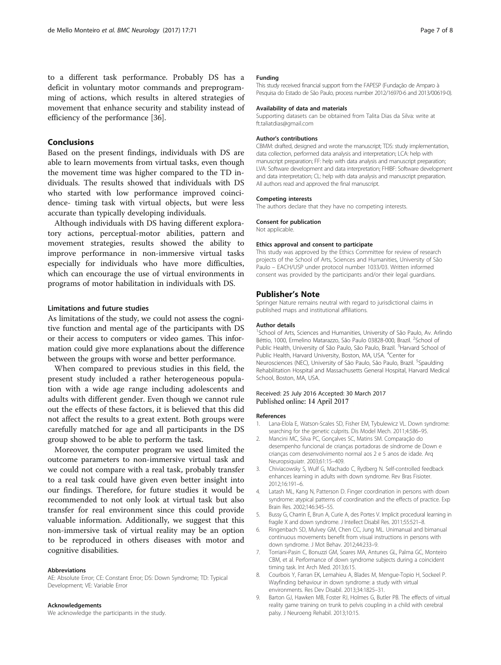## <span id="page-6-0"></span>Conclusions

Based on the present findings, individuals with DS are able to learn movements from virtual tasks, even though the movement time was higher compared to the TD individuals. The results showed that individuals with DS who started with low performance improved coincidence- timing task with virtual objects, but were less accurate than typically developing individuals.

Although individuals with DS having different exploratory actions, perceptual-motor abilities, pattern and movement strategies, results showed the ability to improve performance in non-immersive virtual tasks especially for individuals who have more difficulties, which can encourage the use of virtual environments in programs of motor habilitation in individuals with DS.

## Limitations and future studies

As limitations of the study, we could not assess the cognitive function and mental age of the participants with DS or their access to computers or video games. This information could give more explanations about the difference between the groups with worse and better performance.

When compared to previous studies in this field, the present study included a rather heterogeneous population with a wide age range including adolescents and adults with different gender. Even though we cannot rule out the effects of these factors, it is believed that this did not affect the results to a great extent. Both groups were carefully matched for age and all participants in the DS group showed to be able to perform the task.

Moreover, the computer program we used limited the outcome parameters to non-immersive virtual task and we could not compare with a real task, probably transfer to a real task could have given even better insight into our findings. Therefore, for future studies it would be recommended to not only look at virtual task but also transfer for real environment since this could provide valuable information. Additionally, we suggest that this non-immersive task of virtual reality may be an option to be reproduced in others diseases with motor and cognitive disabilities.

#### Abbreviations

AE: Absolute Error; CE: Constant Error; DS: Down Syndrome; TD: Typical Development; VE: Variable Error

#### Acknowledgements

We acknowledge the participants in the study.

#### Funding

This study received financial support from the FAPESP (Fundação de Amparo à Pesquisa do Estado de São Paulo, process number 2012/16970-6 and 2013/00619-0).

#### Availability of data and materials

Supporting datasets can be obtained from Talita Dias da Silva: write at ft.taliatdias@gmail.com

#### Author's contributions

CBMM: drafted, designed and wrote the manuscript; TDS: study implementation, data collection, performed data analysis and interpretation; LCA: help with manuscript preparation; FF: help with data analysis and manuscript preparation; LVA: Software development and data interpretation; FHIBF: Software development and data interpretation; CL: help with data analysis and manuscript preparation. All authors read and approved the final manuscript.

#### Competing interests

The authors declare that they have no competing interests.

#### Consent for publication

Not applicable.

### Ethics approval and consent to participate

This study was approved by the Ethics Committee for review of research projects of the School of Arts, Sciences and Humanities, University of São Paulo – EACH/USP under protocol number 1033/03. Written informed consent was provided by the participants and/or their legal guardians.

#### Publisher's Note

Springer Nature remains neutral with regard to jurisdictional claims in published maps and institutional affiliations.

#### Author details

<sup>1</sup>School of Arts, Sciences and Humanities, University of São Paulo, Av. Arlindo Béttio, 1000, Ermelino Matarazzo, São Paulo 03828-000, Brazil. <sup>2</sup>School of Public Health, University of São Paulo, São Paulo, Brazil. <sup>3</sup> Harvard School of Public Health, Harvard University, Boston, MA, USA. <sup>4</sup>Center for Neurosciences (NEC), University of São Paulo, São Paulo, Brazil. <sup>5</sup>Spaulding Rehabilitation Hospital and Massachusetts General Hospital, Harvard Medical School, Boston, MA, USA.

## Received: 25 July 2016 Accepted: 30 March 2017 Published online: 14 April 2017

#### References

- 1. Lana-Elola E, Watson-Scales SD, Fisher EM, Tybulewicz VL. Down syndrome: searching for the genetic culprits. Dis Model Mech. 2011;4:586–95.
- 2. Mancini MC, Silva PC, Gonçalves SC, Matins SM. Comparação do desempenho funcional de crianças portadoras de síndrome de Down e crianças com desenvolvimento normal aos 2 e 5 anos de idade. Arq Neuropsiquiatr. 2003;61:15–409.
- 3. Chiviacowsky S, Wulf G, Machado C, Rydberg N. Self-controlled feedback enhances learning in adults with down syndrome. Rev Bras Fisioter. 2012;16:191–6.
- 4. Latash ML, Kang N, Patterson D. Finger coordination in persons with down syndrome: atypical patterns of coordination and the effects of practice. Exp Brain Res. 2002;146:345–55.
- 5. Bussy G, Charrin E, Brun A, Curie A, des Portes V. Implicit procedural learning in fragile X and down syndrome. J Intellect Disabil Res. 2011;55:521–8.
- 6. Ringenbach SD, Mulvey GM, Chen CC, Jung ML. Unimanual and bimanual continuous movements benefit from visual instructions in persons with down syndrome. J Mot Behav. 2012;44:233–9.
- 7. Torriani-Pasin C, Bonuzzi GM, Soares MA, Antunes GL, Palma GC, Monteiro CBM, et al. Performance of down syndrome subjects during a coincident timing task. Int Arch Med. 2013;6:15.
- 8. Courbois Y, Farran EK, Lemahieu A, Blades M, Mengue-Topio H, Sockeel P. Wayfinding behaviour in down syndrome: a study with virtual environments. Res Dev Disabil. 2013;34:1825–31.
- 9. Barton GJ, Hawken MB, Foster RJ, Holmes G, Butler PB. The effects of virtual reality game training on trunk to pelvis coupling in a child with cerebral palsy. J Neuroeng Rehabil. 2013;10:15.